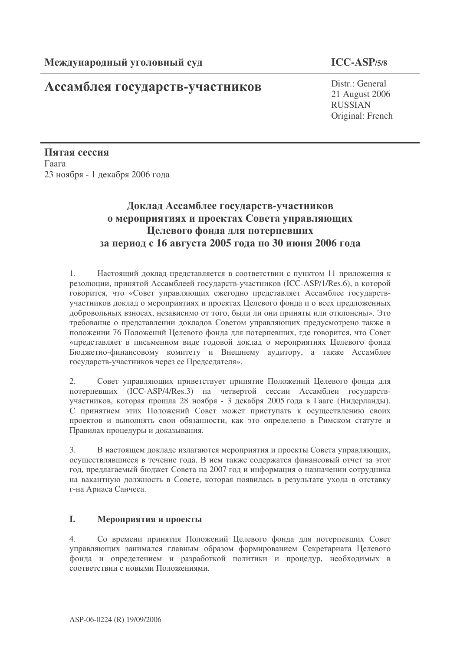## Ассамблея государств-участников

## $ICC-ASP/5/8$

Distr.: General 21 August 2006 **RUSSIAN** Original: French

Пятая сессия Гаага 23 ноября - 1 декабря 2006 года

## Доклад Ассамблее государств-участников о мероприятиях и проектах Совета управляющих Целевого фонда для потерпевших за период с 16 августа 2005 года по 30 июня 2006 года

Настоящий доклад представляется в соответствии с пунктом 11 приложения к  $1<sub>1</sub>$ резолюции, принятой Ассамблеей государств-участников (ICC-ASP/1/Res.6), в которой говорится, что «Совет управляющих ежегодно представляет Ассамблее государствучастников доклад о мероприятиях и проектах Целевого фонда и о всех предложенных добровольных взносах, независимо от того, были ли они приняты или отклонены». Это требование о представлении докладов Советом управляющих предусмотрено также в положении 76 Положений Целевого фонда для потерпевших, где говорится, что Совет «представляет в письменном виде годовой доклад о мероприятиях Целевого фонда Бюджетно-финансовому комитету и Внешнему аудитору, а также Ассамблее государств-участников через ее Председателя».

 $2.$ Совет управляющих приветствует принятие Положений Целевого фонда для потерпевших (ICC-ASP/4/Res.3) на четвертой сессии Ассамблеи государствучастников, которая прошла 28 ноября - 3 декабря 2005 года в Гааге (Нидерланды). С принятием этих Положений Совет может приступать к осуществлению своих проектов и выполнять свои обязанности, как это определено в Римском статуте и Правилах процедуры и доказывания.

 $3.$ В настоящем докладе излагаются мероприятия и проекты Совета управляющих, осуществлявшиеся в течение года. В нем также содержатся финансовый отчет за этот год, предлагаемый бюджет Совета на 2007 год и информация о назначении сотрудника на вакантную должность в Совете, которая появилась в результате ухода в отставку г-на Ариаса Санчеса.

#### L. Мероприятия и проекты

Со времени принятия Положений Целевого фонда для потерпевших Совет  $\overline{4}$ . управляющих занимался главным образом формированием Секретариата Целевого фонда и определением и разработкой политики и процедур, необходимых в соответствии с новыми Положениями.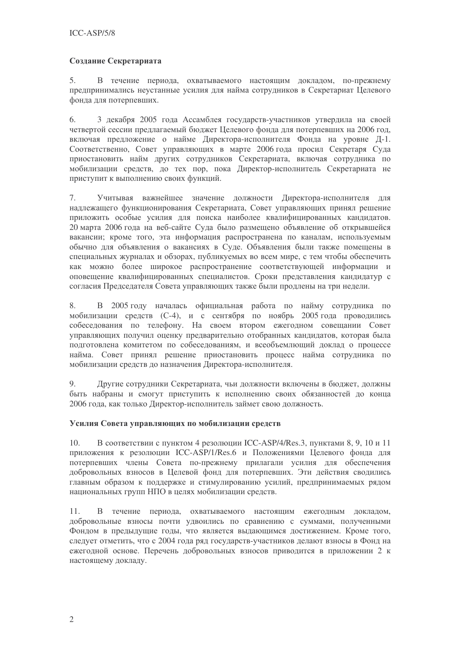## Создание Секретариата

В течение периода, охватываемого настоящим докладом, по-прежнему 5. предпринимались неустанные усилия для найма сотрудников в Секретариат Целевого фонла лля потерпевших.

6. 3 декабря 2005 года Ассамблея государств-участников утвердила на своей четвертой сессии предлагаемый бюджет Целевого фонда для потерпевших на 2006 год, включая предложение о найме Директора-исполнителя Фонда на уровне Д-1. Соответственно, Совет управляющих в марте 2006 года просил Секретаря Суда приостановить найм других сотрудников Секретариата, включая сотрудника по мобилизации средств, до тех пор, пока Директор-исполнитель Секретариата не приступит к выполнению своих функций.

7. Учитывая важнейшее значение должности Директора-исполнителя для надлежащего функционирования Секретариата, Совет управляющих принял решение приложить особые усилия для поиска наиболее квалифицированных кандидатов. 20 марта 2006 года на веб-сайте Суда было размещено объявление об открывшейся вакансии; кроме того, эта информация распространена по каналам, используемым обычно для объявления о вакансиях в Суде. Объявления были также помещены в специальных журналах и обзорах, публикуемых во всем мире, с тем чтобы обеспечить как можно более широкое распространение соответствующей информации и оповещение квалифицированных специалистов. Сроки представления кандидатур с согласия Председателя Совета управляющих также были продлены на три недели.

В 2005 году началась официальная работа по найму сотрудника по 8. мобилизации средств (С-4), и с сентября по ноябрь 2005 года проводились собеседования по телефону. На своем втором ежегодном совещании Совет управляющих получил оценку предварительно отобранных кандидатов, которая была подготовлена комитетом по собеседованиям, и всеобъемлющий доклад о процессе найма. Совет принял решение приостановить процесс найма сотрудника по мобилизации средств до назначения Директора-исполнителя.

Другие сотрудники Секретариата, чьи должности включены в бюджет, должны  $Q_{\perp}$ быть набраны и смогут приступить к исполнению своих обязанностей до конца 2006 года, как только Директор-исполнитель займет свою должность.

### Усилия Совета управляющих по мобилизации средств

В соответствии с пунктом 4 резолюции ICC-ASP/4/Res.3, пунктами 8, 9, 10 и 11 10. приложения к резолюции ICC-ASP/1/Res.6 и Положениями Целевого фонда для потерпевших члены Совета по-прежнему прилагали усилия для обеспечения добровольных взносов в Целевой фонд для потерпевших. Эти действия сводились главным образом к поддержке и стимулированию усилий, предпринимаемых рядом национальных групп НПО в целях мобилизации средств.

 $11.$ В течение периода, охватываемого настоящим ежегодным докладом, добровольные взносы почти удвоились по сравнению с суммами, полученными Фондом в предыдущие годы, что является выдающимся достижением. Кроме того, следует отметить, что с 2004 года ряд государств-участников делают взносы в Фонд на ежегодной основе. Перечень добровольных взносов приводится в приложении 2 к настоящему докладу.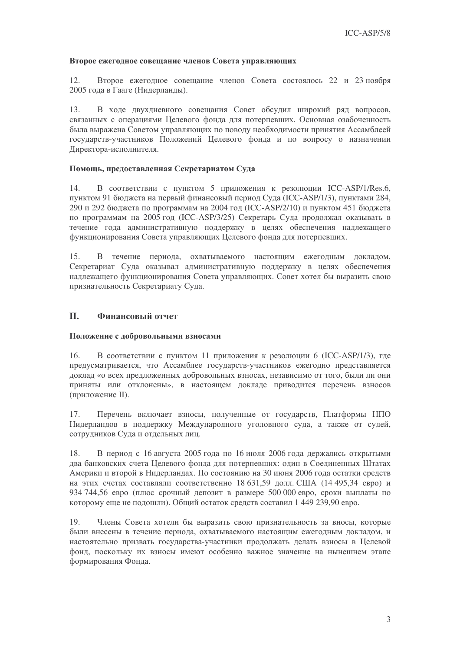#### Второе ежегодное совещание членов Совета управляющих

Второе ежегодное совещание членов Совета состоялось 22 и 23 ноября  $12.$ 2005 года в Гааге (Нидерланды).

В ходе двухдневного совещания Совет обсудил широкий ряд вопросов, 13. связанных с операциями Целевого фонда для потерпевших. Основная озабоченность была выражена Советом управляющих по поводу необходимости принятия Ассамблеей государств-участников Положений Целевого фонда и по вопросу о назначении Директора-исполнителя.

#### Помощь, предоставленная Секретариатом Суда

14. В соответствии с пунктом 5 приложения к резолюции ICC-ASP/1/Res.6, пунктом 91 бюджета на первый финансовый период Суда (ICC-ASP/1/3), пунктами 284, 290 и 292 бюджета по программам на 2004 год (ICC-ASP/2/10) и пунктом 451 бюджета по программам на 2005 год (ICC-ASP/3/25) Секретарь Суда продолжал оказывать в течение года административную поддержку в целях обеспечения надлежащего функционирования Совета управляющих Целевого фонда для потерпевших.

В течение периода, охватываемого настоящим ежегодным докладом,  $15.$ Секретариат Суда оказывал административную поддержку в целях обеспечения надлежащего функционирования Совета управляющих. Совет хотел бы выразить свою признательность Секретариату Суда.

#### II. Финансовый отчет

### Положение с добровольными взносами

В соответствии с пунктом 11 приложения к резолюции 6 (ICC-ASP/1/3), где  $16<sup>1</sup>$ предусматривается, что Ассамблее государств-участников ежегодно представляется доклад «о всех предложенных добровольных взносах, независимо от того, были ли они приняты или отклонены», в настоящем докладе приводится перечень взносов (приложение II).

Перечень включает взносы, полученные от государств, Платформы НПО  $17.$ Нилерландов в поллержку Международного уголовного суда, а также от судей, сотрудников Суда и отдельных лиц.

В период с 16 августа 2005 года по 16 июля 2006 года держались открытыми 18. два банковских счета Целевого фонда для потерпевших: один в Соединенных Штатах Америки и второй в Нидерландах. По состоянию на 30 июня 2006 года остатки средств на этих счетах составляли соответственно 18 631,59 долл. США (14 495,34 евро) и 934 744,56 евро (плюс срочный депозит в размере 500 000 евро, сроки выплаты по которому еще не полошли). Общий остаток средств составил 1 449 239.90 евро.

Члены Совета хотели бы выразить свою признательность за вносы, которые 19. были внесены в течение периода, охватываемого настоящим ежегодным докладом, и настоятельно призвать государства-участники продолжать делать взносы в Целевой фонд, поскольку их взносы имеют особенно важное значение на нынешнем этапе формирования Фонда.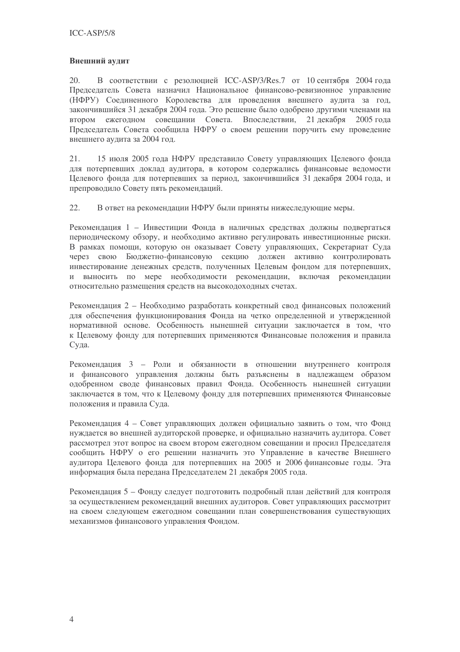### Внешний аудит

В соответствии с резолюцией ICC-ASP/3/Res.7 от 10 сентября 2004 года 20. Председатель Совета назначил Национальное финансово-ревизионное управление (НФРУ) Соединенного Королевства для проведения внешнего аудита за год, закончившийся 31 декабря 2004 года. Это решение было одобрено другими членами на втором ежегодном совещании Совета. Впоследствии, 21 декабря  $2005$  гола Председатель Совета сообщила НФРУ о своем решении поручить ему проведение внешнего аудита за 2004 год.

15 июля 2005 года НФРУ представило Совету управляющих Целевого фонда 21. для потерпевших доклад аудитора, в котором содержались финансовые ведомости Целевого фонда для потерпевших за период, закончившийся 31 декабря 2004 года, и препроводило Совету пять рекомендаций.

22. В ответ на рекомендации НФРУ были приняты нижеследующие меры.

Рекоменлация 1 - Инвестиции Фонла в наличных средствах должны подвергаться периодическому обзору, и необходимо активно регулировать инвестиционные риски. В рамках помощи, которую он оказывает Совету управляющих, Секретариат Суда через свою Бюджетно-финансовую секцию должен активно контролировать инвестирование денежных средств, полученных Целевым фондом для потерпевших, и выносить по мере необходимости рекомендации, включая рекомендации относительно размещения средств на высокодоходных счетах.

Рекомендация 2 - Необходимо разработать конкретный свод финансовых положений для обеспечения функционирования Фонда на четко определенной и утвержденной нормативной основе. Особенность нынешней ситуации заключается в том, что к Целевому фонду для потерпевших применяются Финансовые положения и правила Суда.

Рекомендация 3 - Роли и обязанности в отношении внутреннего контроля и финансового управления должны быть разъяснены в надлежащем образом одобренном своде финансовых правил Фонда. Особенность нынешней ситуации заключается в том, что к Целевому фонду для потерпевших применяются Финансовые положения и правила Суда.

Рекомендация 4 - Совет управляющих должен официально заявить о том, что Фонд нуждается во внешней аудиторской проверке, и официально назначить аудитора. Совет рассмотрел этот вопрос на своем втором ежегодном совещании и просил Председателя сообщить НФРУ о его решении назначить это Управление в качестве Внешнего аудитора Целевого фонда для потерпевших на 2005 и 2006 финансовые годы. Эта информация была передана Председателем 21 декабря 2005 года.

Рекомендация 5 - Фонду следует подготовить подробный план действий для контроля за осуществлением рекомендаций внешних аудиторов. Совет управляющих рассмотрит на своем следующем ежегодном совещании план совершенствования существующих механизмов финансового управления Фондом.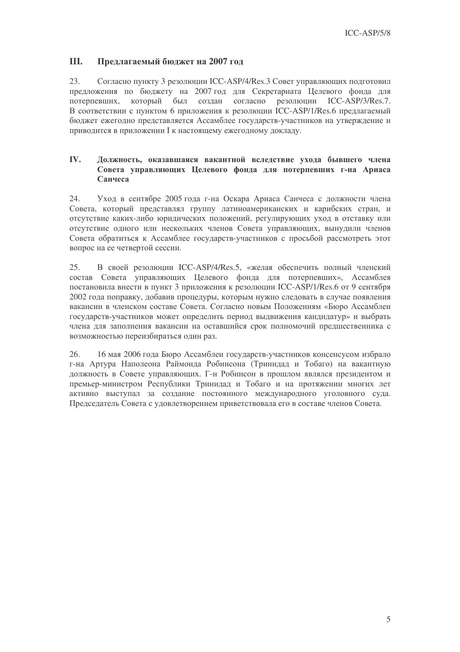#### III. Предлагаемый бюджет на 2007 год

23. Согласно пункту 3 резолюции ICC-ASP/4/Res.3 Совет управляющих подготовил предложения по бюджету на 2007 год для Секретариата Целевого фонда для который был создан согласно резолюции  $ICC-ASP/3/Res.7$ . потерпевших, В соответствии с пунктом 6 приложения к резолюции ICC-ASP/1/Res.6 предлагаемый бюджет ежегодно представляется Ассамблее государств-участников на утверждение и приводится в приложении I к настоящему ежегодному докладу.

#### IV. Должность, оказавшаяся вакантной вследствие ухода бывшего члена Совета управляющих Целевого фонда для потерпевших г-на Ариаса Санчеса

24. Уход в сентябре 2005 года г-на Оскара Ариаса Санчеса с должности члена Совета, который представлял группу латиноамериканских и карибских стран, и отсутствие каких-либо юридических положений, регулирующих уход в отставку или отсутствие одного или нескольких членов Совета управляющих, вынудили членов Совета обратиться к Ассамблее государств-участников с просьбой рассмотреть этот вопрос на ее четвертой сессии.

25. В своей резолюции ICC-ASP/4/Res.5, «желая обеспечить полный членский состав Совета управляющих Целевого фонда для потерпевших», Ассамблея постановила внести в пункт 3 приложения к резолюции ICC-ASP/1/Res.6 от 9 сентября 2002 года поправку, добавив процедуры, которым нужно следовать в случае появления вакансии в членском составе Совета. Согласно новым Положениям «Бюро Ассамблеи государств-участников может определить период выдвижения кандидатур» и выбрать члена для заполнения вакансии на оставшийся срок полномочий предшественника с возможностью переизбираться один раз.

 $26$ 16 мая 2006 года Бюро Ассамблеи государств-участников консенсусом избрало г-на Артура Наполеона Раймонда Робинсона (Тринидад и Тобаго) на вакантную должность в Совете управляющих. Г-н Робинсон в прошлом являлся президентом и премьер-министром Республики Тринидад и Тобаго и на протяжении многих лет активно выступал за создание постоянного международного уголовного суда. Председатель Совета с удовлетворением приветствовала его в составе членов Совета.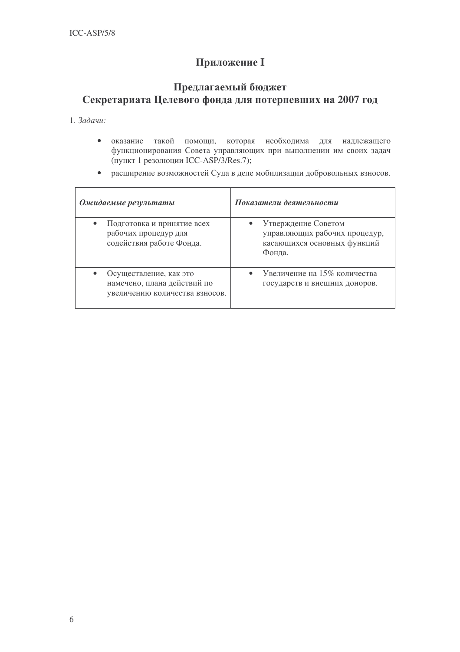# **Приложение I**

## Предлагаемый бюджет Секретариата Целевого фонда для потерпевших на 2007 год

1. Задачи:

- оказание такой помощи, которая необходима для  $\bullet$ надлежащего функционирования Совета управляющих при выполнении им своих задач (пункт 1 резолюции ICC-ASP/3/Res.7);
- расширение возможностей Суда в деле мобилизации добровольных взносов.

| Ожидаемые результаты                                                                    | Показатели деятельности                                                                       |
|-----------------------------------------------------------------------------------------|-----------------------------------------------------------------------------------------------|
| Подготовка и принятие всех<br>рабочих процедур для<br>содействия работе Фонда.          | Утверждение Советом<br>управляющих рабочих процедур,<br>касающихся основных функций<br>Фонда. |
| Осуществление, как это<br>намечено, плана действий по<br>увеличению количества взносов. | Увеличение на 15% количества<br>государств и внешних доноров.                                 |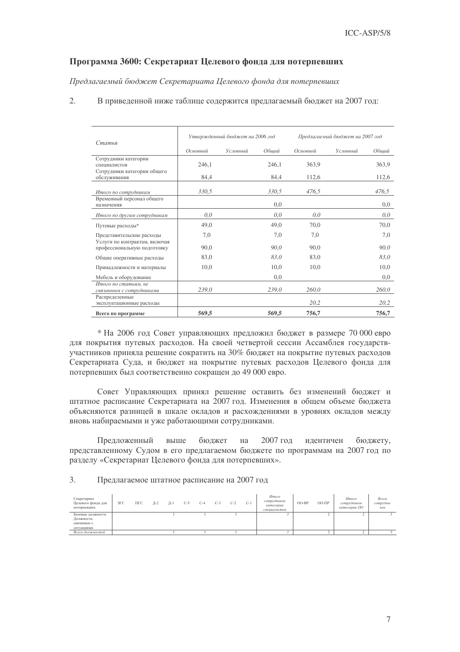#### Программа 3600: Секретариат Целевого фонда для потерпевших

Предлагаемый бюджет Секретариата Целевого фонда для потерпевших

2. В приведенной ниже таблице содержится предлагаемый бюджет на 2007 год:

| Статья                                                              |          | Утвержденный бюджет на 2006 год |       | Предлагаемый бюджет на 2007 год |          |       |  |  |
|---------------------------------------------------------------------|----------|---------------------------------|-------|---------------------------------|----------|-------|--|--|
|                                                                     | Основной | Условный                        | Обший | Основной                        | Условный | Обший |  |  |
| Сотрудники категории<br>специалистов<br>Сотрудники категории общего | 246,1    |                                 | 246,1 | 363,9                           |          | 363,9 |  |  |
| обслуживания                                                        | 84,4     |                                 | 84,4  | 112,6                           |          | 112,6 |  |  |
| Итого по сотрудникам                                                | 330,5    |                                 | 330,5 | 476.5                           |          | 476,5 |  |  |
| Временный персонал общего<br>назначения                             |          |                                 | 0,0   |                                 |          | 0,0   |  |  |
| Итого по другим сотрудникам                                         | 0,0      |                                 | 0,0   | 0,0                             |          | 0,0   |  |  |
| Путевые расходы*                                                    | 49,0     |                                 | 49,0  | 70,0                            |          | 70,0  |  |  |
| Представительские расходы<br>Услуги по контрактам, включая          | 7,0      |                                 | 7,0   | 7,0                             |          | 7,0   |  |  |
| профессиональную подготовку                                         | 90,0     |                                 | 90,0  | 90,0                            |          | 90,0  |  |  |
| Общие оперативные расходы                                           | 83,0     |                                 | 83,0  | 83,0                            |          | 83,0  |  |  |
| Принадлежности и материалы                                          | 10,0     |                                 | 10,0  | 10,0                            |          | 10,0  |  |  |
| Мебель и оборудование                                               |          |                                 | 0,0   |                                 |          | 0,0   |  |  |
| Итого по статьям, не<br>связанным с сотрудниками                    | 239,0    |                                 | 239,0 | 260,0                           |          | 260,0 |  |  |
| Распределенные<br>эксплуатационные расходы                          |          |                                 |       | 20,2                            |          | 20,2  |  |  |
| Всего по программе                                                  | 569,5    |                                 | 569,5 | 756,7                           |          | 756,7 |  |  |

\* На 2006 год Совет управляющих предложил бюджет в размере 70 000 евро для покрытия путевых расходов. На своей четвертой сессии Ассамблея государствучастников приняла решение сократить на 30% бюджет на покрытие путевых расходов Секретариата Суда, и бюджет на покрытие путевых расходов Целевого фонда для потерпевших был соответственно сокращен до 49 000 евро.

Совет Управляющих принял решение оставить без изменений бюджет и штатное расписание Секретариата на 2007 год. Изменения в общем объеме бюджета объясняются разницей в шкале окладов и расхождениями в уровнях окладов между вновь набираемыми и уже работающими сотрудниками.

Предложенный выше выше бюджет на 2007 год илентичен н бюджету, представленному Судом в его предлагаемом бюджете по программам на 2007 год по разделу «Секретариат Целевого фонда для потерпевших».

3. Предлагаемое штатное расписание на 2007 год

| Секретариат<br>Целевого фонда для<br>потерпевших | $3\Gamma C$ | ПГС | Д-2 | Д-1 | $C-5$ | $C-4$ | $C-3$ | $C-2$ | $C-1$ | Итого<br>сотрудников<br>категории<br>спешиалистов | $OO-BP$ | $OO-HP$ | Итого<br>сотрудников<br>категории ОО | Всего<br>сотрудни-<br>KO <sub>6</sub> |
|--------------------------------------------------|-------------|-----|-----|-----|-------|-------|-------|-------|-------|---------------------------------------------------|---------|---------|--------------------------------------|---------------------------------------|
| Базовые должности                                |             |     |     |     |       |       |       |       |       |                                                   |         |         |                                      |                                       |
| Должности,                                       |             |     |     |     |       |       |       |       |       |                                                   |         |         |                                      |                                       |
| связанные с                                      |             |     |     |     |       |       |       |       |       |                                                   |         |         |                                      |                                       |
| ситуациями                                       |             |     |     |     |       |       |       |       |       |                                                   |         |         |                                      |                                       |
| Всего должностей                                 |             |     |     |     |       |       |       |       |       |                                                   |         |         |                                      |                                       |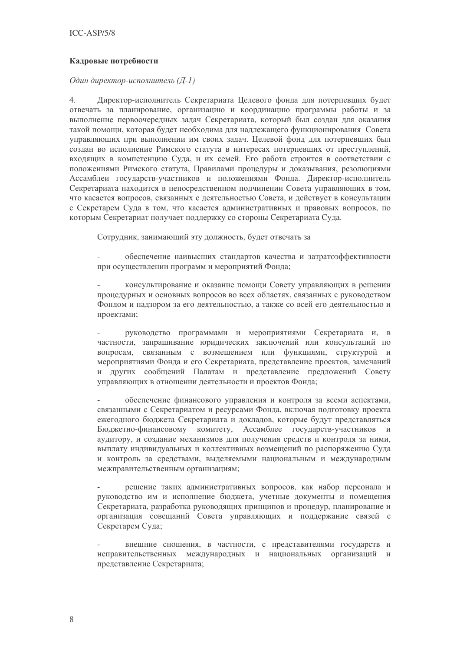### Кадровые потребности

Один директор-исполнитель (Д-1)

Директор-исполнитель Секретариата Целевого фонда для потерпевших будет  $\overline{4}$ . отвечать за планирование, организацию и координацию программы работы и за выполнение первоочередных задач Секретариата, который был создан для оказания такой помощи, которая будет необходима для надлежащего функционирования Совета управляющих при выполнении им своих задач. Целевой фонд для потерпевших был создан во исполнение Римского статута в интересах потерпевших от преступлений, входящих в компетенцию Суда, и их семей. Его работа строится в соответствии с положениями Римского статута, Правилами процедуры и доказывания, резолюциями Ассамблеи государств-участников и положениями Фонда. Директор-исполнитель Секретариата находится в непосредственном подчинении Совета управляющих в том, что касается вопросов, связанных с деятельностью Совета, и действует в консультации с Секретарем Суда в том, что касается административных и правовых вопросов, по которым Секретариат получает поллержку со стороны Секретариата Сула.

Сотрудник, занимающий эту должность, будет отвечать за

обеспечение наивысших стандартов качества и затратоэффективности при осуществлении программ и мероприятий Фонда;

консультирование и оказание помоши Совету управляющих в решении процедурных и основных вопросов во всех областях, связанных с руководством Фондом и надзором за его деятельностью, а также со всей его деятельностью и проектами;

руководство программами и мероприятиями Секретариата и, в частности, запрашивание юридических заключений или консультаций по вопросам, связанным с возмещением или функциями, структурой и мероприятиями Фонда и его Секретариата, представление проектов, замечаний и других сообщений Палатам и представление предложений Совету управляющих в отношении деятельности и проектов Фонда;

обеспечение финансового управления и контроля за всеми аспектами. связанными с Секретариатом и ресурсами Фонда, включая подготовку проекта ежегодного бюджета Секретариата и докладов, которые будут представляться Бюджетно-финансовому комитету, Ассамблее государств-участников и аудитору, и создание механизмов для получения средств и контроля за ними, выплату индивидуальных и коллективных возмещений по распоряжению Суда и контроль за средствами, выделяемыми национальным и международным межправительственным организациям;

решение таких административных вопросов, как набор персонала и руководство им и исполнение бюджета, учетные документы и помещения Секретариата, разработка руководящих принципов и процедур, планирование и организация совещаний Совета управляющих и поддержание связей с Секретарем Суда;

внешние сношения, в частности, с представителями государств и неправительственных международных и национальных организаций  $\overline{M}$ представление Секретариата;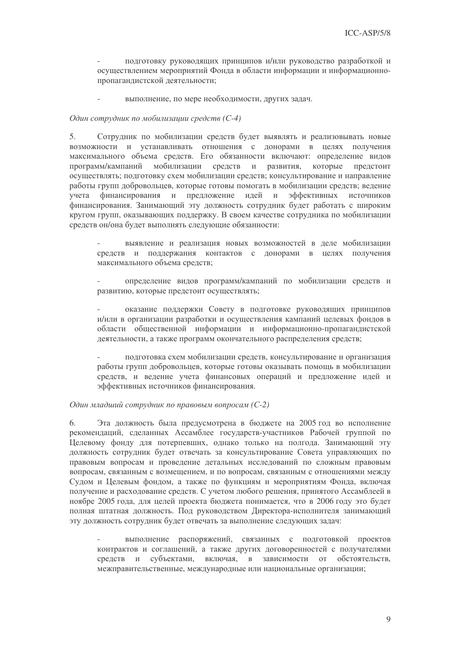подготовку руководящих принципов и/или руководство разработкой и осуществлением мероприятий Фонда в области информации и информационнопропагандистской деятельности;

выполнение, по мере необходимости, других задач.

#### Один сотрудник по мобилизации средств (С-4)

 $5<sub>1</sub>$ Сотрудник по мобилизации средств будет выявлять и реализовывать новые возможности и устанавливать отношения с донорами в целях получения максимального объема средств. Его обязанности включают: определение видов программ/кампаний мобилизации средств и развития, которые предстоит осуществлять; подготовку схем мобилизации средств; консультирование и направление работы групп добровольцев, которые готовы помогать в мобилизации средств; ведение финансирования и предложение идей и эффективных источников учета финансирования. Занимающий эту должность сотрудник будет работать с широким кругом групп, оказывающих поддержку. В своем качестве сотрудника по мобилизации средств он/она будет выполнять следующие обязанности:

выявление и реализация новых возможностей в леле мобилизации средств и поддержания контактов с донорами в целях получения максимального объема средств:

определение видов программ/кампаний по мобилизации средств и развитию, которые предстоит осуществлять;

оказание поддержки Совету в подготовке руководящих принципов и/или в организации разработки и осуществления кампаний целевых фондов в области общественной информации и информационно-пропагандистской деятельности, а также программ окончательного распределения средств;

подготовка схем мобилизации средств, консультирование и организация работы групп добровольцев, которые готовы оказывать помощь в мобилизации средств, и ведение учета финансовых операций и предложение идей и эффективных источников финансирования.

#### Один младший сотрудник по правовым вопросам (С-2)

Эта должность была предусмотрена в бюджете на 2005 год во исполнение 6. рекомендаций, сделанных Ассамблее государств-участников Рабочей группой по Целевому фонду для потерпевших, однако только на полгода. Занимающий эту должность сотрудник будет отвечать за консультирование Совета управляющих по правовым вопросам и проведение детальных исследований по сложным правовым вопросам, связанным с возмешением, и по вопросам, связанным с отношениями между Судом и Целевым фондом, а также по функциям и мероприятиям Фонда, включая получение и расходование средств. С учетом любого решения, принятого Ассамблеей в ноябре 2005 года, для целей проекта бюджета понимается, что в 2006 году это будет полная штатная должность. Под руководством Директора-исполнителя занимающий эту должность сотрудник будет отвечать за выполнение следующих задач:

выполнение распоряжений, связанных с подготовкой проектов контрактов и соглашений, а также других договоренностей с получателями средств и субъектами, включая, в зависимости от обстоятельств, межправительственные, международные или национальные организации;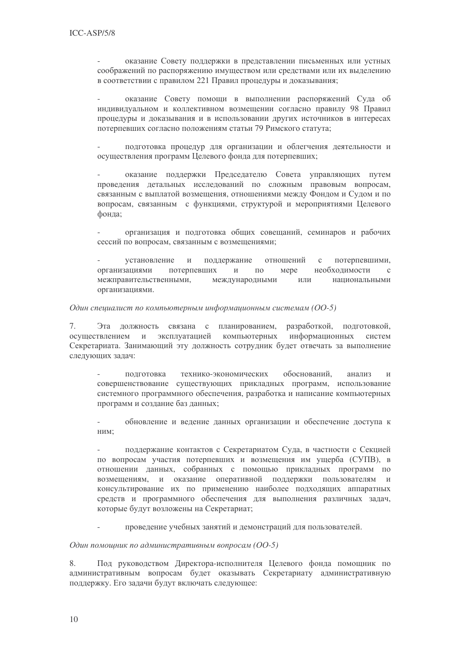оказание Совету поддержки в представлении письменных или устных соображений по распоряжению имуществом или средствами или их выделению в соответствии с правилом 221 Правил процедуры и доказывания;

оказание Совету помощи в выполнении распоряжений Суда об индивидуальном и коллективном возмещении согласно правилу 98 Правил процедуры и доказывания и в использовании других источников в интересах потерпевших согласно положениям статьи 79 Римского статута;

подготовка процедур для организации и облегчения деятельности и осуществления программ Целевого фонда для потерпевших;

оказание поддержки Председателю Совета управляющих путем проведения детальных исследований по сложным правовым вопросам. связанным с выплатой возмещения, отношениями между Фондом и Судом и по вопросам, связанным с функциями, структурой и мероприятиями Целевого фонда:

организация и подготовка общих совещаний, семинаров и рабочих сессий по вопросам, связанным с возмешениями:

установление  $\overline{M}$ поддержание отношений  $\mathbf{c}$ потерпевшими, организациями потерпевших  $\mathbf{M}$  $\Pi$ <sup>O</sup> мере необходимости  $\mathcal{C}$ межправительственными, международными ИЛИ национальными организациями.

#### Один специалист по компьютерным информационным системам (ОО-5)

Эта должность связана с планированием, разработкой, подготовкой,  $7<sub>1</sub>$ эксплуатацией компьютерных информационных осуществлением  $\overline{M}$ систем Секретариата. Занимающий эту должность сотрудник будет отвечать за выполнение следующих задач:

подготовка технико-экономических обоснований. анализ  $\,$  M совершенствование существующих прикладных программ, использование системного программного обеспечения, разработка и написание компьютерных программ и создание баз данных:

обновление и ведение данных организации и обеспечение доступа к ним;

поддержание контактов с Секретариатом Суда, в частности с Секцией по вопросам участия потерпевших и возмещения им ущерба (СУПВ), в отношении данных, собранных с помощью прикладных программ по возмещениям, и оказание оперативной поддержки пользователям и консультирование их по применению наиболее подходящих аппаратных средств и программного обеспечения для выполнения различных задач, которые будут возложены на Секретариат;

проведение учебных занятий и демонстраций для пользователей.

Один помощник по административным вопросам (ОО-5)

8. Под руководством Директора-исполнителя Целевого фонда помощник по административным вопросам будет оказывать Секретариату административную поддержку. Его задачи будут включать следующее: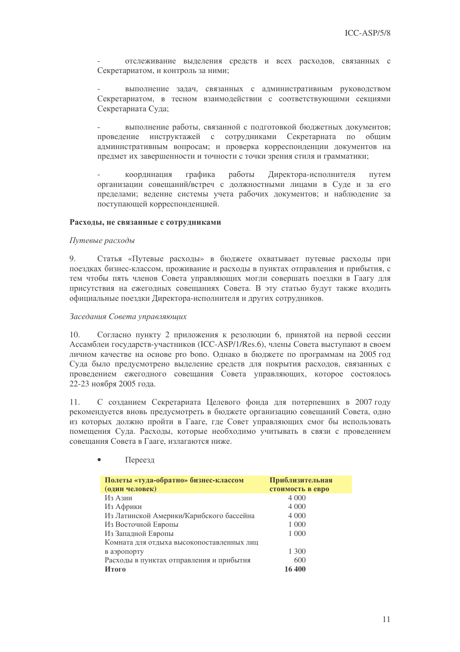отслеживание выделения средств и всех расходов, связанных с Секретариатом, и контроль за ними;

выполнение задач, связанных с административным руководством Секретариатом, в тесном взаимодействии с соответствующими секциями Секретариата Суда;

выполнение работы, связанной с подготовкой бюджетных документов; инструктажей с сотрудниками Секретариата по общим провеление административным вопросам; и проверка корреспонденции документов на предмет их завершенности и точности с точки зрения стиля и грамматики;

координация графика работы Лиректора-исполнителя путем организации совешаний/встреч с должностными лицами в Суде и за его пределами; ведение системы учета рабочих документов; и наблюдение за поступающей корреспонденцией.

#### Расходы, не связанные с сотрудниками

#### Путевые расходы

Статья «Путевые расходы» в бюджете охватывает путевые расходы при 9. поездках бизнес-классом, проживание и расходы в пунктах отправления и прибытия, с тем чтобы пять членов Совета управляющих могли совершать поездки в Гаагу для присутствия на ежегодных совещаниях Совета. В эту статью будут также входить официальные поездки Директора-исполнителя и других сотрудников.

#### Заседания Совета управляющих

Согласно пункту 2 приложения к резолюции 6, принятой на первой сессии  $10.$ Ассамблеи государств-участников (ICC-ASP/1/Res.6), члены Совета выступают в своем личном качестве на основе рго bono. Однако в бюджете по программам на 2005 год Суда было предусмотрено выделение средств для покрытия расходов, связанных с проведением ежегодного совещания Совета управляющих, которое состоялось 22-23 ноября 2005 года.

 $11.$ С созданием Секретариата Целевого фонда для потерпевших в 2007 году рекомендуется вновь предусмотреть в бюджете организацию совещаний Совета, одно из которых должно пройти в Гааге, где Совет управляющих смог бы использовать помещения Суда. Расходы, которые необходимо учитывать в связи с проведением совещания Совета в Гааге, излагаются ниже.

| Полеты «туда-обратно» бизнес-классом      | Приблизительная  |
|-------------------------------------------|------------------|
| (один человек)                            | стоимость в евро |
| Из Азии                                   | 4 0 0 0          |
| Из Африки                                 | 4 0 0 0          |
| Из Латинской Америки/Карибского бассейна  | 4 0 0 0          |
| Из Восточной Европы                       | 1 000            |
| Из Западной Европы                        | 1 0 0 0          |
| Комната для отдыха высокопоставленных лиц |                  |
| в аэропорту                               | 1 300            |
| Расходы в пунктах отправления и прибытия  | 600              |
| Итого                                     | 16 400           |

Переезд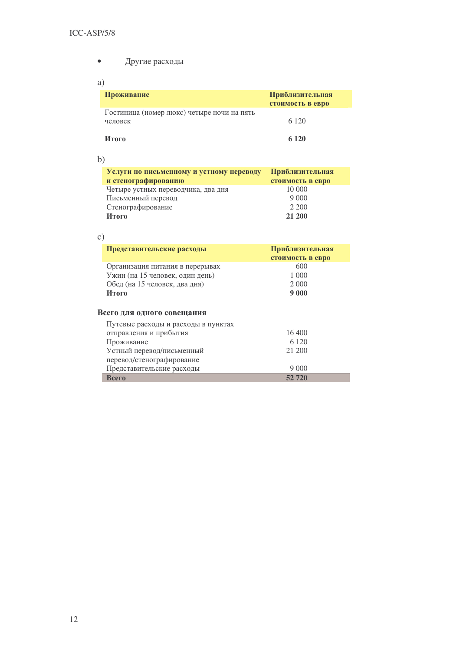- Другие расходы  $\bullet$
- a)

| Проживание                                            | Приблизительная<br>стоимость в евро |
|-------------------------------------------------------|-------------------------------------|
| Гостиница (номер люкс) четыре ночи на пять<br>человек | 6 1 2 0                             |
| Итого                                                 | 6 1 2 0                             |

 $b)$ 

| Услуги по письменному и устному переводу | Приблизительная  |
|------------------------------------------|------------------|
| и стенографированию                      | стоимость в евро |
| Четыре устных переводчика, два дня       | 10 000           |
| Письменный перевод                       |                  |
| Стенографирование                        | 2 200            |
| Итого                                    | 21 200           |

| Представительские расходы               | Приблизительная<br>стоимость в евро |
|-----------------------------------------|-------------------------------------|
| Организация питания в перерывах         | 600                                 |
| Ужин (на 15 человек, один день)         | 1 000                               |
| Обед (на 15 человек, два дня)           | 2 0 0 0                             |
| Итого                                   | 9 0 0 0                             |
|                                         |                                     |
| Всего для одного совещания              |                                     |
| Путевые расходы и расходы в пунктах     |                                     |
| отправления и прибытия                  | 16,400<br>6 1 2 0                   |
| Проживание<br>Устный перевод/письменный | 21 200                              |
| перевод/стенографирование               |                                     |
| Представительские расходы               | 9 0 0 0                             |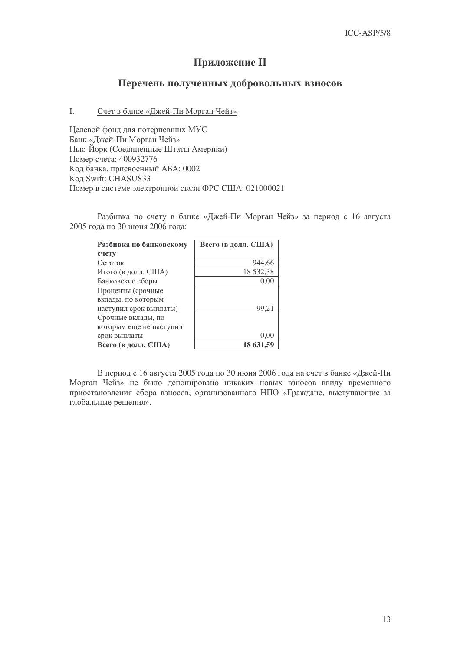# Приложение II

## Перечень полученных добровольных взносов

#### I. Счет в банке «Джей-Пи Морган Чейз»

Целевой фонд для потерпевших МУС Банк «Джей-Пи Морган Чейз» Нью-Йорк (Соединенные Штаты Америки) Номер счета: 400932776 Код банка, присвоенный АБА: 0002 Код Swift: CHASUS33 Номер в системе электронной связи ФРС США: 021000021

Разбивка по счету в банке «Джей-Пи Морган Чейз» за период с 16 августа 2005 года по 30 июня 2006 года:

| Разбивка по банковскому | Всего (в долл. США) |
|-------------------------|---------------------|
| счету                   |                     |
| Остаток                 | 944.66              |
| Итого (в долл. США)     | 18 532,38           |
| Банковские сборы        | 0.00                |
| Проценты (срочные       |                     |
| вклады, по которым      |                     |
| наступил срок выплаты)  | 99.2                |
| Срочные вклады, по      |                     |
| которым еще не наступил |                     |
| срок выплаты            | 0.00                |
| Всего (в долл. США)     | 18 631,59           |

В период с 16 августа 2005 года по 30 июня 2006 года на счет в банке «Джей-Пи Морган Чейз» не было депонировано никаких новых взносов ввиду временного приостановления сбора взносов, организованного НПО «Граждане, выступающие за глобальные решения».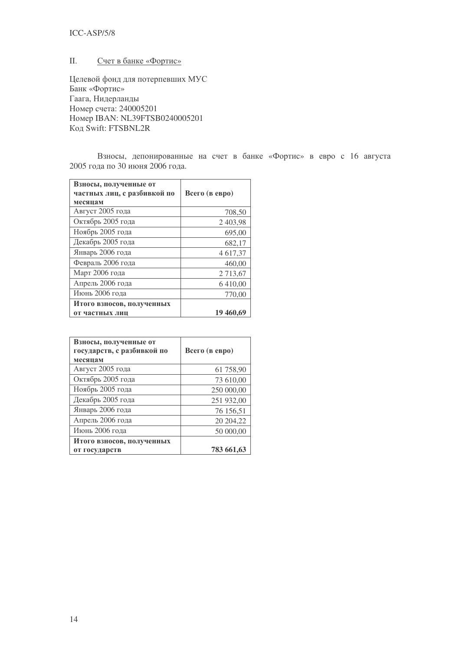## ICC-ASP/5/8

#### II. Счет в банке «Фортис»

Целевой фонд для потерпевших МУС Банк «Фортис» Гаага, Нидерланды Номер счета: 240005201  IBAN: NL39FTSB0240005201 **Koa Swift: FTSBNL2R** 

Взносы, депонированные на счет в банке «Фортис» в евро с 16 августа 2005 года по 30 июня 2006 года.

| Взносы, полученные от<br>частных лиц, с разбивкой по<br>месяцам | Всего (в евро) |
|-----------------------------------------------------------------|----------------|
| Август 2005 года                                                | 708,50         |
| Октябрь 2005 года                                               | 2 403,98       |
| Ноябрь 2005 года                                                | 695,00         |
| Декабрь 2005 года                                               | 682,17         |
| Январь 2006 года                                                | 4 617,37       |
| Февраль 2006 года                                               | 460,00         |
| Март 2006 года                                                  | 2 713,67       |
| Апрель 2006 года                                                | 6 4 1 0 0 0    |
| Июнь 2006 года                                                  | 770,00         |
| Итого взносов, полученных                                       |                |
| от частных лиц                                                  | 19 460,69      |

| Взносы, полученные от<br>государств, с разбивкой по<br>месяцам | Всего (в евро) |
|----------------------------------------------------------------|----------------|
| Август 2005 года                                               | 61 758,90      |
| Октябрь 2005 года                                              | 73 610,00      |
| Ноябрь 2005 года                                               | 250 000,00     |
| Декабрь 2005 года                                              | 251 932,00     |
| Январь 2006 года                                               | 76 156,51      |
| Апрель 2006 года                                               | 20 204,22      |
| Июнь 2006 года                                                 | 50 000,00      |
| Итого взносов, полученных                                      |                |
| от государств                                                  | 783 661,63     |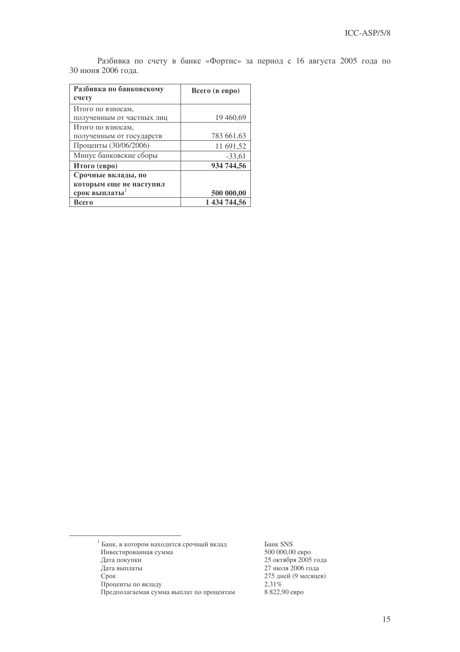|                    |  |  | Разбивка по счету в банке «Фортис» за период с 16 августа 2005 года по |  |  |  |  |
|--------------------|--|--|------------------------------------------------------------------------|--|--|--|--|
| 30 июня 2006 года. |  |  |                                                                        |  |  |  |  |

| Разбивка по банковскому<br>счету | Всего (в евро) |
|----------------------------------|----------------|
| Итого по взносам,                |                |
| полученным от частных лиц        | 19 460,69      |
| Итого по взносам,                |                |
| полученным от государств         | 783 661,63     |
| Проценты (30/06/2006)            | 11 691,52      |
| Минус банковские сборы           | $-33.61$       |
| Итого (евро)                     | 934 744,56     |
| Срочные вклады, по               |                |
| которым еще не наступил          |                |
| срок выплаты                     | 500 000,00     |
| Всего                            | 1 434 744,56   |

д Банк SNS 2,31% м 8 822,90 евро

<sup>&</sup>lt;sup>1</sup> Банк, в котором находится срочный вкла Инвестированная сумма 500 000,00 евро Дата покупки покупки 25 октября 2005 года Дата выпла ты  $27$  июля  $2006$  года Срок 275 дней (9 месяцев) Проценты по вкла Предполагаемая сумма выплат по процента